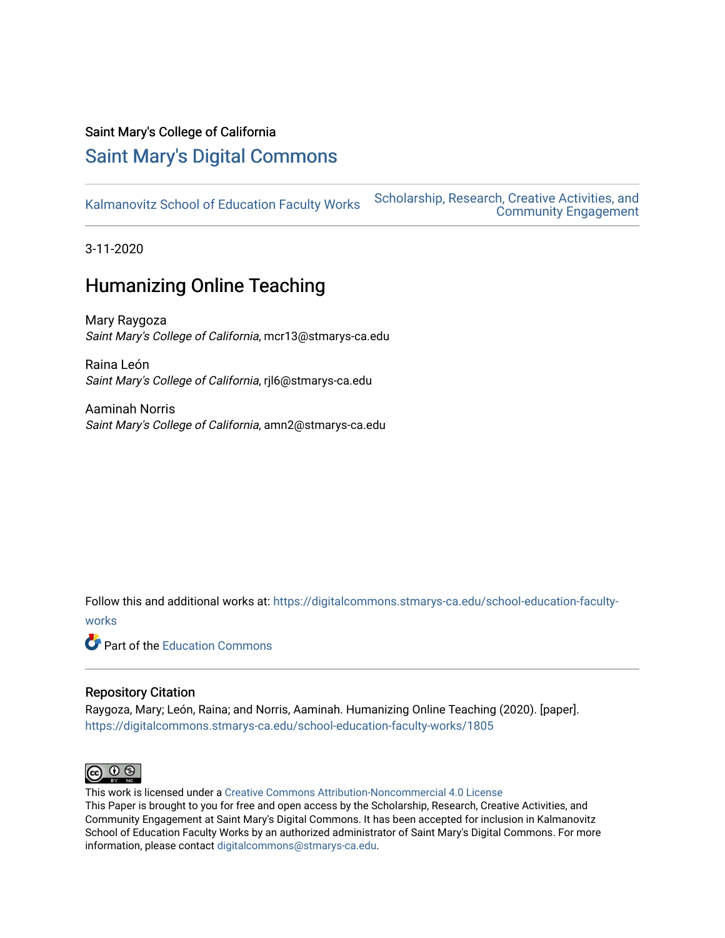## Saint Mary's College of California

# [Saint Mary's Digital Commons](https://digitalcommons.stmarys-ca.edu/)

[Kalmanovitz School of Education Faculty Works](https://digitalcommons.stmarys-ca.edu/school-education-faculty-works) [Scholarship, Research, Creative Activities, and](https://digitalcommons.stmarys-ca.edu/scholarship-research-community) 

[Community Engagement](https://digitalcommons.stmarys-ca.edu/scholarship-research-community) 

3-11-2020

# Humanizing Online Teaching

Mary Raygoza Saint Mary's College of California, mcr13@stmarys-ca.edu

Raina León Saint Mary's College of California, rjl6@stmarys-ca.edu

Aaminah Norris Saint Mary's College of California, amn2@stmarys-ca.edu

Follow this and additional works at: [https://digitalcommons.stmarys-ca.edu/school-education-faculty-](https://digitalcommons.stmarys-ca.edu/school-education-faculty-works?utm_source=digitalcommons.stmarys-ca.edu%2Fschool-education-faculty-works%2F1805&utm_medium=PDF&utm_campaign=PDFCoverPages)

[works](https://digitalcommons.stmarys-ca.edu/school-education-faculty-works?utm_source=digitalcommons.stmarys-ca.edu%2Fschool-education-faculty-works%2F1805&utm_medium=PDF&utm_campaign=PDFCoverPages) 

**Part of the [Education Commons](http://network.bepress.com/hgg/discipline/784?utm_source=digitalcommons.stmarys-ca.edu%2Fschool-education-faculty-works%2F1805&utm_medium=PDF&utm_campaign=PDFCoverPages)** 

#### Repository Citation

Raygoza, Mary; León, Raina; and Norris, Aaminah. Humanizing Online Teaching (2020). [paper]. [https://digitalcommons.stmarys-ca.edu/school-education-faculty-works/1805](https://digitalcommons.stmarys-ca.edu/school-education-faculty-works/1805?utm_source=digitalcommons.stmarys-ca.edu%2Fschool-education-faculty-works%2F1805&utm_medium=PDF&utm_campaign=PDFCoverPages) 



This work is licensed under a [Creative Commons Attribution-Noncommercial 4.0 License](https://creativecommons.org/licenses/by-nc/4.0/) 

This Paper is brought to you for free and open access by the Scholarship, Research, Creative Activities, and Community Engagement at Saint Mary's Digital Commons. It has been accepted for inclusion in Kalmanovitz School of Education Faculty Works by an authorized administrator of Saint Mary's Digital Commons. For more information, please contact [digitalcommons@stmarys-ca.edu](mailto:digitalcommons@stmarys-ca.edu).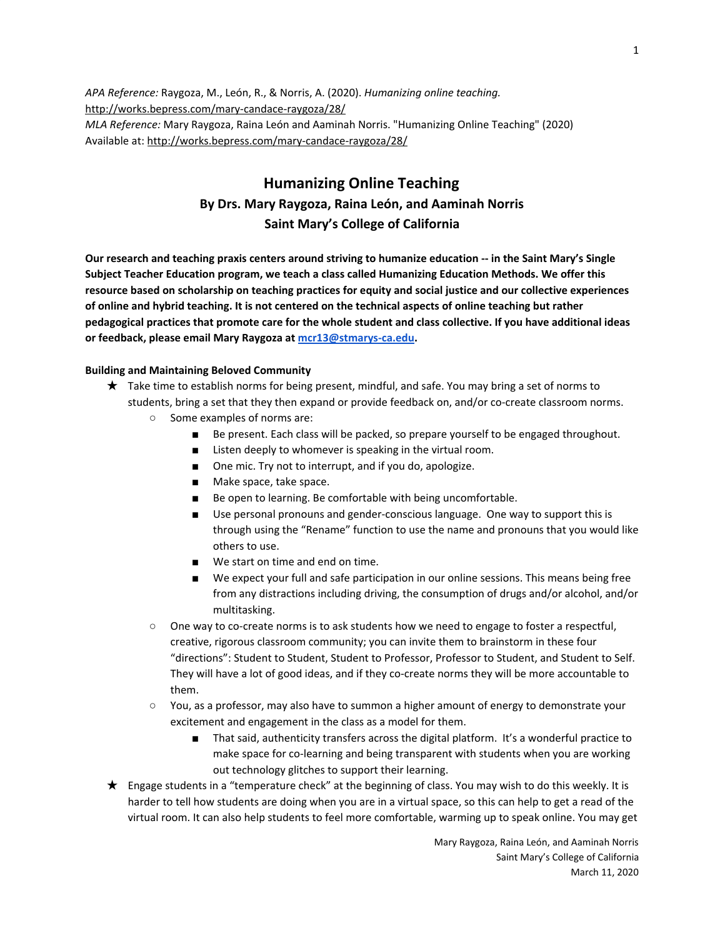*APA Reference:* Raygoza, M., León, R., & Norris, A. (2020). *Humanizing online teaching.* <http://works.bepress.com/mary-candace-raygoza/28/> *MLA Reference:* Mary Raygoza, Raina León and Aaminah Norris. "Humanizing Online Teaching" (2020) Available at: <http://works.bepress.com/mary-candace-raygoza/28/>

### **Humanizing Online Teaching By Drs. Mary Raygoza, Raina León, and Aaminah Norris Saint Mary's College of California**

Our research and teaching praxis centers around striving to humanize education -- in the Saint Mary's Single **Subject Teacher Education program, we teach a class called Humanizing Education Methods. We offer this resource based on scholarship on teaching practices for equity and social justice and our collective experiences** of online and hybrid teaching. It is not centered on the technical aspects of online teaching but rather pedagogical practices that promote care for the whole student and class collective. If you have additional ideas **or feedback, please email Mary Raygoza at [mcr13@stmarys-ca.edu](mailto:mcr13@stmarys-ca.edu).**

#### **Building and Maintaining Beloved Community**

- ★ Take time to establish norms for being present, mindful, and safe. You may bring a set of norms to students, bring a set that they then expand or provide feedback on, and/or co-create classroom norms.
	- Some examples of norms are:
		- Be present. Each class will be packed, so prepare yourself to be engaged throughout.
		- Listen deeply to whomever is speaking in the virtual room.
		- One mic. Try not to interrupt, and if you do, apologize.
		- Make space, take space.
		- Be open to learning. Be comfortable with being uncomfortable.
		- Use personal pronouns and gender-conscious language. One way to support this is through using the "Rename" function to use the name and pronouns that you would like others to use.
		- We start on time and end on time.
		- We expect your full and safe participation in our online sessions. This means being free from any distractions including driving, the consumption of drugs and/or alcohol, and/or multitasking.
	- One way to co-create norms is to ask students how we need to engage to foster a respectful, creative, rigorous classroom community; you can invite them to brainstorm in these four "directions": Student to Student, Student to Professor, Professor to Student, and Student to Self. They will have a lot of good ideas, and if they co-create norms they will be more accountable to them.
	- You, as a professor, may also have to summon a higher amount of energy to demonstrate your excitement and engagement in the class as a model for them.
		- That said, authenticity transfers across the digital platform. It's a wonderful practice to make space for co-learning and being transparent with students when you are working out technology glitches to support their learning.
- ★ Engage students in a "temperature check" at the beginning of class. You may wish to do this weekly. It is harder to tell how students are doing when you are in a virtual space, so this can help to get a read of the virtual room. It can also help students to feel more comfortable, warming up to speak online. You may get

Mary Raygoza, Raina León, and Aaminah Norris Saint Mary's College of California March 11, 2020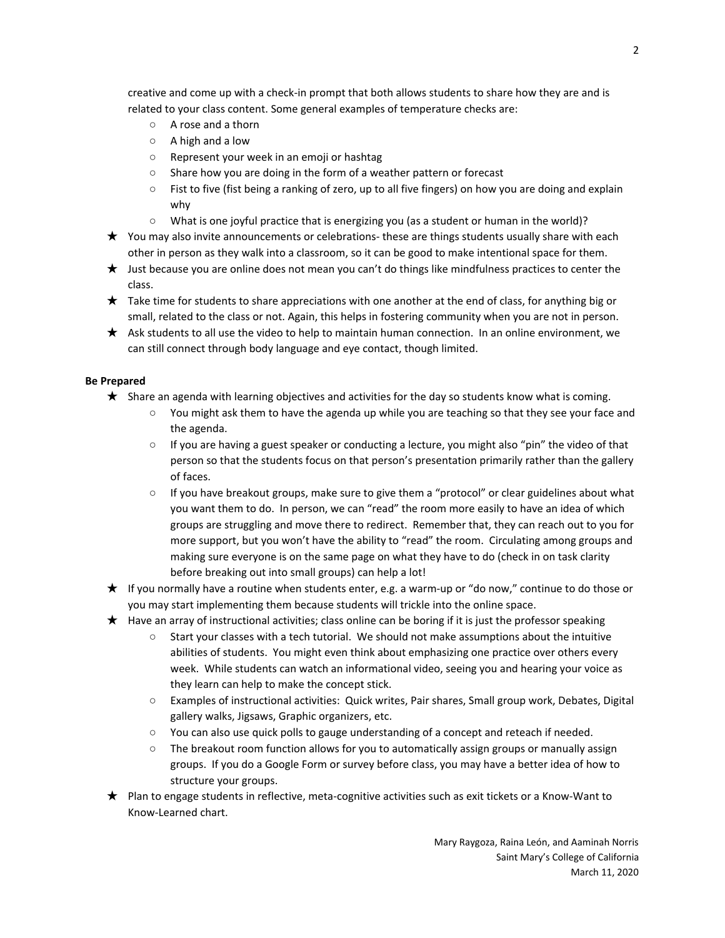creative and come up with a check-in prompt that both allows students to share how they are and is related to your class content. Some general examples of temperature checks are:

- A rose and a thorn
- A high and a low
- Represent your week in an emoji or hashtag
- Share how you are doing in the form of a weather pattern or forecast
- Fist to five (fist being a ranking of zero, up to all five fingers) on how you are doing and explain why
- What is one joyful practice that is energizing you (as a student or human in the world)?
- ★ You may also invite announcements or celebrations- these are things students usually share with each other in person as they walk into a classroom, so it can be good to make intentional space for them.
- ★ Just because you are online does not mean you can't do things like mindfulness practices to center the class.
- $\star$  Take time for students to share appreciations with one another at the end of class, for anything big or small, related to the class or not. Again, this helps in fostering community when you are not in person.
- ★ Ask students to all use the video to help to maintain human connection. In an online environment, we can still connect through body language and eye contact, though limited.

#### **Be Prepared**

- ★ Share an agenda with learning objectives and activities for the day so students know what is coming.
	- You might ask them to have the agenda up while you are teaching so that they see your face and the agenda.
	- If you are having a guest speaker or conducting a lecture, you might also "pin" the video of that person so that the students focus on that person's presentation primarily rather than the gallery of faces.
	- If you have breakout groups, make sure to give them a "protocol" or clear guidelines about what you want them to do. In person, we can "read" the room more easily to have an idea of which groups are struggling and move there to redirect. Remember that, they can reach out to you for more support, but you won't have the ability to "read" the room. Circulating among groups and making sure everyone is on the same page on what they have to do (check in on task clarity before breaking out into small groups) can help a lot!
- ★ If you normally have a routine when students enter, e.g. a warm-up or "do now," continue to do those or you may start implementing them because students will trickle into the online space.
- $\star$  Have an array of instructional activities; class online can be boring if it is just the professor speaking
	- Start your classes with a tech tutorial. We should not make assumptions about the intuitive abilities of students. You might even think about emphasizing one practice over others every week. While students can watch an informational video, seeing you and hearing your voice as they learn can help to make the concept stick.
	- Examples of instructional activities: Quick writes, Pair shares, Small group work, Debates, Digital gallery walks, Jigsaws, Graphic organizers, etc.
	- You can also use quick polls to gauge understanding of a concept and reteach if needed.
	- The breakout room function allows for you to automatically assign groups or manually assign groups. If you do a Google Form or survey before class, you may have a better idea of how to structure your groups.
- ★ Plan to engage students in reflective, meta-cognitive activities such as exit tickets or a Know-Want to Know-Learned chart.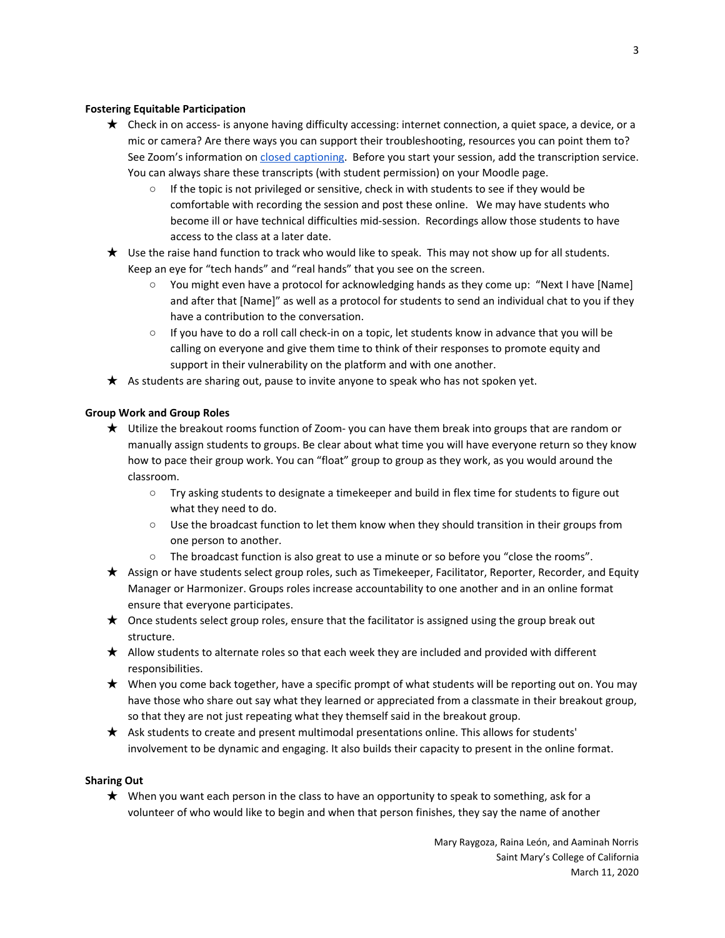#### **Fostering Equitable Participation**

- ★ Check in on access- is anyone having difficulty accessing: internet connection, a quiet space, a device, or a mic or camera? Are there ways you can support their troubleshooting, resources you can point them to? See Zoom's information on closed [captioning.](https://support.zoom.us/hc/en-us/articles/207279736-Getting-started-with-closed-captioning) Before you start your session, add the transcription service. You can always share these transcripts (with student permission) on your Moodle page.
	- If the topic is not privileged or sensitive, check in with students to see if they would be comfortable with recording the session and post these online. We may have students who become ill or have technical difficulties mid-session. Recordings allow those students to have access to the class at a later date.
- ★ Use the raise hand function to track who would like to speak. This may not show up for all students. Keep an eye for "tech hands" and "real hands" that you see on the screen.
	- You might even have a protocol for acknowledging hands as they come up: "Next I have [Name] and after that [Name]" as well as a protocol for students to send an individual chat to you if they have a contribution to the conversation.
	- If you have to do a roll call check-in on a topic, let students know in advance that you will be calling on everyone and give them time to think of their responses to promote equity and support in their vulnerability on the platform and with one another.
- $\star$  As students are sharing out, pause to invite anyone to speak who has not spoken yet.

#### **Group Work and Group Roles**

- ★ Utilize the breakout rooms function of Zoom- you can have them break into groups that are random or manually assign students to groups. Be clear about what time you will have everyone return so they know how to pace their group work. You can "float" group to group as they work, as you would around the classroom.
	- Try asking students to designate a timekeeper and build in flex time for students to figure out what they need to do.
	- Use the broadcast function to let them know when they should transition in their groups from one person to another.
	- The broadcast function is also great to use a minute or so before you "close the rooms".
- ★ Assign or have students select group roles, such as Timekeeper, Facilitator, Reporter, Recorder, and Equity Manager or Harmonizer. Groups roles increase accountability to one another and in an online format ensure that everyone participates.
- $\star$  Once students select group roles, ensure that the facilitator is assigned using the group break out structure.
- ★ Allow students to alternate roles so that each week they are included and provided with different responsibilities.
- $\star$  When you come back together, have a specific prompt of what students will be reporting out on. You may have those who share out say what they learned or appreciated from a classmate in their breakout group, so that they are not just repeating what they themself said in the breakout group.
- ★ Ask students to create and present multimodal presentations online. This allows for students' involvement to be dynamic and engaging. It also builds their capacity to present in the online format.

#### **Sharing Out**

 $\star$  When you want each person in the class to have an opportunity to speak to something, ask for a volunteer of who would like to begin and when that person finishes, they say the name of another